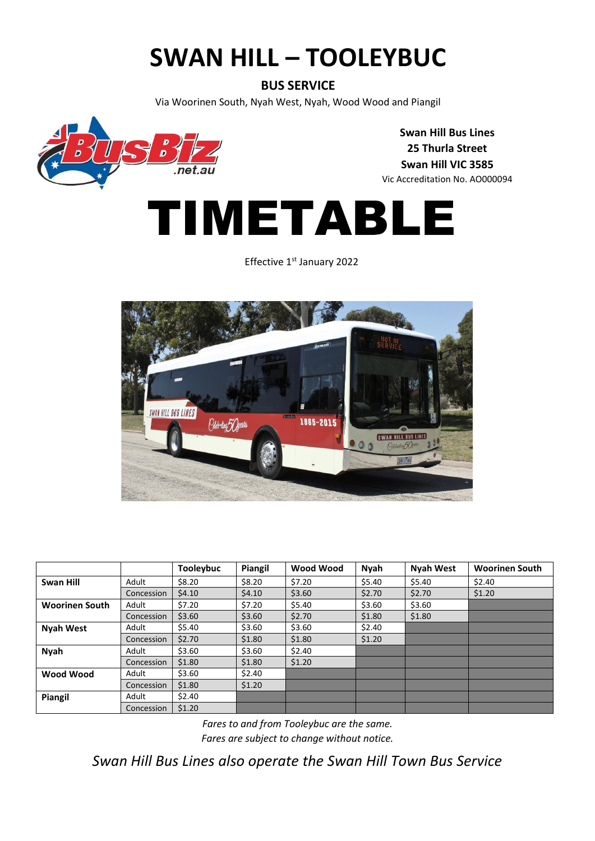## **SWAN HILL – TOOLEYBUC**

#### **BUS SERVICE**

Via Woorinen South, Nyah West, Nyah, Wood Wood and Piangil



**Swan Hill Bus Lines 25 Thurla Street Swan Hill VIC 3585** Vic Accreditation No. AO000094

# TIMETABLE

Effective 1<sup>st</sup> January 2022



|                       |            | <b>Tooleybuc</b> | Piangil | Wood Wood | Nyah   | <b>Nyah West</b> | <b>Woorinen South</b> |
|-----------------------|------------|------------------|---------|-----------|--------|------------------|-----------------------|
| Swan Hill             | Adult      | \$8.20           | \$8.20  | \$7.20    | \$5.40 | \$5.40           | \$2.40                |
|                       | Concession | \$4.10           | \$4.10  | \$3.60    | \$2.70 | \$2.70           | \$1.20                |
| <b>Woorinen South</b> | Adult      | \$7.20           | \$7.20  | \$5.40    | \$3.60 | \$3.60           |                       |
|                       | Concession | \$3.60           | \$3.60  | \$2.70    | \$1.80 | \$1.80           |                       |
| <b>Nyah West</b>      | Adult      | \$5.40           | \$3.60  | \$3.60    | \$2.40 |                  |                       |
|                       | Concession | \$2.70           | \$1.80  | \$1.80    | \$1.20 |                  |                       |
| <b>Nyah</b>           | Adult      | \$3.60           | \$3.60  | \$2.40    |        |                  |                       |
|                       | Concession | \$1.80           | \$1.80  | \$1.20    |        |                  |                       |
| Wood Wood             | Adult      | \$3.60           | \$2.40  |           |        |                  |                       |
|                       | Concession | \$1.80           | \$1.20  |           |        |                  |                       |
| Piangil               | Adult      | \$2.40           |         |           |        |                  |                       |
|                       | Concession | \$1.20           |         |           |        |                  |                       |

*Fares to and from Tooleybuc are the same. Fares are subject to change without notice.*

*Swan Hill Bus Lines also operate the Swan Hill Town Bus Service*